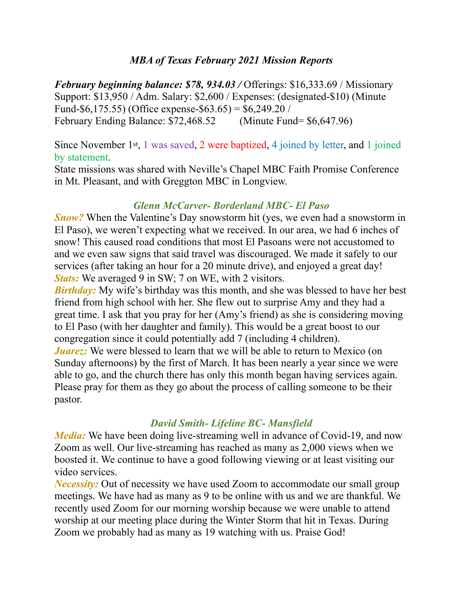### *MBA of Texas February 2021 Mission Reports*

*February beginning balance: \$78, 934.03 /* Offerings: \$16,333.69 / Missionary Support: \$13,950 / Adm. Salary: \$2,600 / Expenses: (designated-\$10) (Minute Fund-\$6,175.55) (Office expense-\$63.65) = \$6,249.20 / February Ending Balance: \$72,468.52 (Minute Fund= \$6,647.96)

Since November 1st, 1 was saved, 2 were baptized, 4 joined by letter, and 1 joined by statement.

State missions was shared with Neville's Chapel MBC Faith Promise Conference in Mt. Pleasant, and with Greggton MBC in Longview.

#### *Glenn McCarver- Borderland MBC- El Paso*

*Snow?* When the Valentine's Day snowstorm hit (yes, we even had a snowstorm in El Paso), we weren't expecting what we received. In our area, we had 6 inches of snow! This caused road conditions that most El Pasoans were not accustomed to and we even saw signs that said travel was discouraged. We made it safely to our services (after taking an hour for a 20 minute drive), and enjoyed a great day! *Stats:* We averaged 9 in SW; 7 on WE, with 2 visitors.

*Birthday:* My wife's birthday was this month, and she was blessed to have her best friend from high school with her. She flew out to surprise Amy and they had a great time. I ask that you pray for her (Amy's friend) as she is considering moving to El Paso (with her daughter and family). This would be a great boost to our congregation since it could potentially add 7 (including 4 children). *Juarez:* We were blessed to learn that we will be able to return to Mexico (on Sunday afternoons) by the first of March. It has been nearly a year since we were

able to go, and the church there has only this month began having services again. Please pray for them as they go about the process of calling someone to be their pastor.

## *David Smith- Lifeline BC- Mansfield*

*Media:* We have been doing live-streaming well in advance of Covid-19, and now Zoom as well. Our live-streaming has reached as many as 2,000 views when we boosted it. We continue to have a good following viewing or at least visiting our video services.

*Necessity:* Out of necessity we have used Zoom to accommodate our small group meetings. We have had as many as 9 to be online with us and we are thankful. We recently used Zoom for our morning worship because we were unable to attend worship at our meeting place during the Winter Storm that hit in Texas. During Zoom we probably had as many as 19 watching with us. Praise God!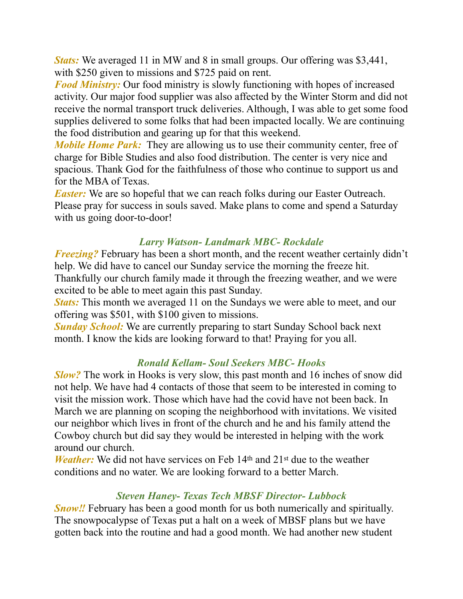*Stats:* We averaged 11 in MW and 8 in small groups. Our offering was \$3,441, with \$250 given to missions and \$725 paid on rent.

*Food Ministry:* Our food ministry is slowly functioning with hopes of increased activity. Our major food supplier was also affected by the Winter Storm and did not receive the normal transport truck deliveries. Although, I was able to get some food supplies delivered to some folks that had been impacted locally. We are continuing the food distribution and gearing up for that this weekend.

*Mobile Home Park:* They are allowing us to use their community center, free of charge for Bible Studies and also food distribution. The center is very nice and spacious. Thank God for the faithfulness of those who continue to support us and for the MBA of Texas.

*Easter:* We are so hopeful that we can reach folks during our Easter Outreach. Please pray for success in souls saved. Make plans to come and spend a Saturday with us going door-to-door!

### *Larry Watson- Landmark MBC- Rockdale*

*Freezing?* February has been a short month, and the recent weather certainly didn't help. We did have to cancel our Sunday service the morning the freeze hit. Thankfully our church family made it through the freezing weather, and we were excited to be able to meet again this past Sunday.

*Stats:* This month we averaged 11 on the Sundays we were able to meet, and our offering was \$501, with \$100 given to missions.

*Sunday School:* We are currently preparing to start Sunday School back next month. I know the kids are looking forward to that! Praying for you all.

## *Ronald Kellam- Soul Seekers MBC- Hooks*

*Slow?* The work in Hooks is very slow, this past month and 16 inches of snow did not help. We have had 4 contacts of those that seem to be interested in coming to visit the mission work. Those which have had the covid have not been back. In March we are planning on scoping the neighborhood with invitations. We visited our neighbor which lives in front of the church and he and his family attend the Cowboy church but did say they would be interested in helping with the work around our church.

*Weather:* We did not have services on Feb 14<sup>th</sup> and 21<sup>st</sup> due to the weather conditions and no water. We are looking forward to a better March.

# *Steven Haney- Texas Tech MBSF Director- Lubbock*

*Snow!!* February has been a good month for us both numerically and spiritually. The snowpocalypse of Texas put a halt on a week of MBSF plans but we have gotten back into the routine and had a good month. We had another new student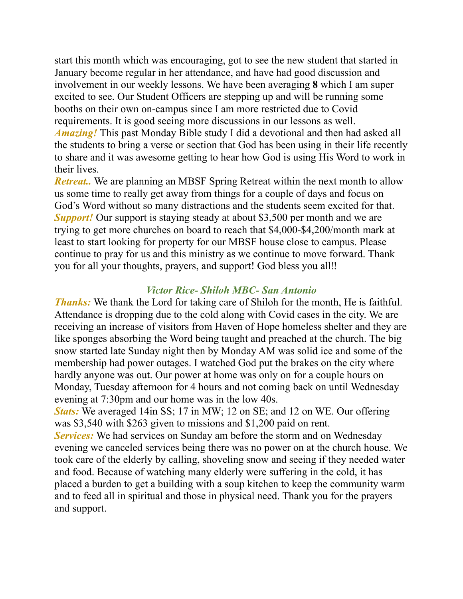start this month which was encouraging, got to see the new student that started in January become regular in her attendance, and have had good discussion and involvement in our weekly lessons. We have been averaging **8** which I am super excited to see. Our Student Officers are stepping up and will be running some booths on their own on-campus since I am more restricted due to Covid requirements. It is good seeing more discussions in our lessons as well. *Amazing!* This past Monday Bible study I did a devotional and then had asked all the students to bring a verse or section that God has been using in their life recently to share and it was awesome getting to hear how God is using His Word to work in their lives.

*Retreat..* We are planning an MBSF Spring Retreat within the next month to allow us some time to really get away from things for a couple of days and focus on God's Word without so many distractions and the students seem excited for that. *Support!* Our support is staying steady at about \$3,500 per month and we are trying to get more churches on board to reach that \$4,000-\$4,200/month mark at least to start looking for property for our MBSF house close to campus. Please continue to pray for us and this ministry as we continue to move forward. Thank you for all your thoughts, prayers, and support! God bless you all‼

### *Victor Rice- Shiloh MBC- San Antonio*

*Thanks:* We thank the Lord for taking care of Shiloh for the month, He is faithful. Attendance is dropping due to the cold along with Covid cases in the city. We are receiving an increase of visitors from Haven of Hope homeless shelter and they are like sponges absorbing the Word being taught and preached at the church. The big snow started late Sunday night then by Monday AM was solid ice and some of the membership had power outages. I watched God put the brakes on the city where hardly anyone was out. Our power at home was only on for a couple hours on Monday, Tuesday afternoon for 4 hours and not coming back on until Wednesday evening at 7:30pm and our home was in the low 40s.

*Stats:* We averaged 14in SS; 17 in MW; 12 on SE; and 12 on WE. Our offering was \$3,540 with \$263 given to missions and \$1,200 paid on rent.

**Services:** We had services on Sunday am before the storm and on Wednesday evening we canceled services being there was no power on at the church house. We took care of the elderly by calling, shoveling snow and seeing if they needed water and food. Because of watching many elderly were suffering in the cold, it has placed a burden to get a building with a soup kitchen to keep the community warm and to feed all in spiritual and those in physical need. Thank you for the prayers and support.